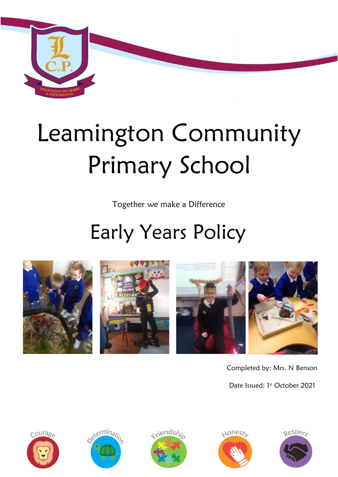

# Leamington Community Primary School

Together we make a Difference

# Early Years Policy







Completed by: Mrs. N Benson

Date Issued: 1st October 2021









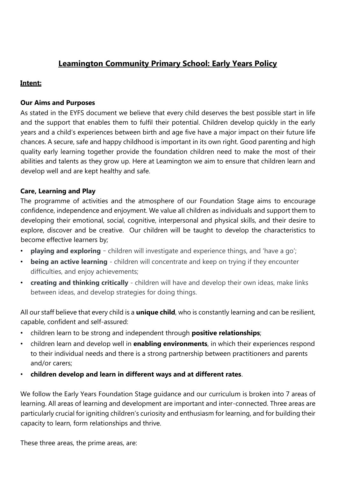# **Leamington Community Primary School: Early Years Policy**

#### **Intent:**

#### **Our Aims and Purposes**

As stated in the EYFS document we believe that every child deserves the best possible start in life and the support that enables them to fulfil their potential. Children develop quickly in the early years and a child's experiences between birth and age five have a major impact on their future life chances. A secure, safe and happy childhood is important in its own right. Good parenting and high quality early learning together provide the foundation children need to make the most of their abilities and talents as they grow up. Here at Leamington we aim to ensure that children learn and develop well and are kept healthy and safe.

#### **Care, Learning and Play**

The programme of activities and the atmosphere of our Foundation Stage aims to encourage confidence, independence and enjoyment. We value all children as individuals and support them to developing their emotional, social, cognitive, interpersonal and physical skills, and their desire to explore, discover and be creative. Our children will be taught to develop the characteristics to become effective learners by;

- **playing and exploring**  children will investigate and experience things, and 'have a go';
- **being an active learning** children will concentrate and keep on trying if they encounter difficulties, and enjoy achievements;
- **creating and thinking critically**  children will have and develop their own ideas, make links between ideas, and develop strategies for doing things.

All our staff believe that every child is a **unique child**, who is constantly learning and can be resilient, capable, confident and self-assured:

- children learn to be strong and independent through **positive relationships**;
- children learn and develop well in **enabling environments**, in which their experiences respond to their individual needs and there is a strong partnership between practitioners and parents and/or carers;
- **children develop and learn in different ways and at different rates**.

We follow the Early Years Foundation Stage guidance and our curriculum is broken into 7 areas of learning. All areas of learning and development are important and inter-connected. Three areas are particularly crucial for igniting children's curiosity and enthusiasm for learning, and for building their capacity to learn, form relationships and thrive.

These three areas, the prime areas, are: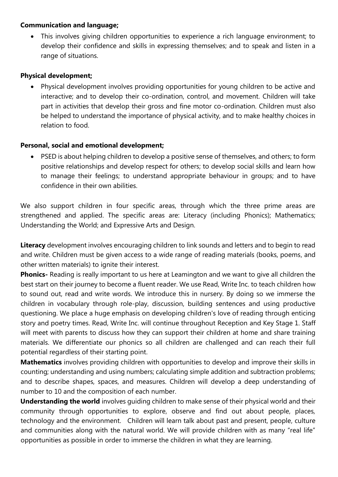#### **Communication and language;**

• This involves giving children opportunities to experience a rich language environment; to develop their confidence and skills in expressing themselves; and to speak and listen in a range of situations.

#### **Physical development;**

• Physical development involves providing opportunities for young children to be active and interactive; and to develop their co-ordination, control, and movement. Children will take part in activities that develop their gross and fine motor co-ordination. Children must also be helped to understand the importance of physical activity, and to make healthy choices in relation to food.

#### **Personal, social and emotional development;**

• PSED is about helping children to develop a positive sense of themselves, and others; to form positive relationships and develop respect for others; to develop social skills and learn how to manage their feelings; to understand appropriate behaviour in groups; and to have confidence in their own abilities.

We also support children in four specific areas, through which the three prime areas are strengthened and applied. The specific areas are: Literacy (including Phonics); Mathematics; Understanding the World; and Expressive Arts and Design.

**Literacy** development involves encouraging children to link sounds and letters and to begin to read and write. Children must be given access to a wide range of reading materials (books, poems, and other written materials) to ignite their interest.

**Phonics-** Reading is really important to us here at Leamington and we want to give all children the best start on their journey to become a fluent reader. We use Read, Write Inc. to teach children how to sound out, read and write words. We introduce this in nursery. By doing so we immerse the children in vocabulary through role-play, discussion, building sentences and using productive questioning. We place a huge emphasis on developing children's love of reading through enticing story and poetry times. Read, Write Inc. will continue throughout Reception and Key Stage 1. Staff will meet with parents to discuss how they can support their children at home and share training materials. We differentiate our phonics so all children are challenged and can reach their full potential regardless of their starting point.

**Mathematics** involves providing children with opportunities to develop and improve their skills in counting; understanding and using numbers; calculating simple addition and subtraction problems; and to describe shapes, spaces, and measures. Children will develop a deep understanding of number to 10 and the composition of each number.

**Understanding the world** involves guiding children to make sense of their physical world and their community through opportunities to explore, observe and find out about people, places, technology and the environment. Children will learn talk about past and present, people, culture and communities along with the natural world. We will provide children with as many "real life" opportunities as possible in order to immerse the children in what they are learning.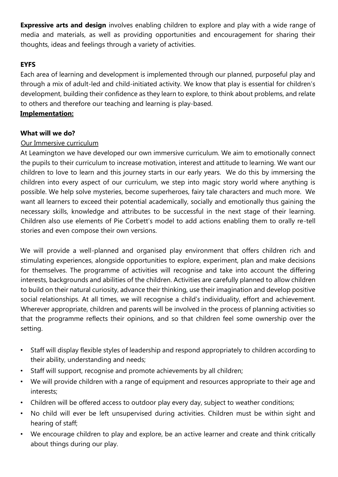**Expressive arts and design** involves enabling children to explore and play with a wide range of media and materials, as well as providing opportunities and encouragement for sharing their thoughts, ideas and feelings through a variety of activities.

#### **EYFS**

Each area of learning and development is implemented through our planned, purposeful play and through a mix of adult-led and child-initiated activity. We know that play is essential for children's development, building their confidence as they learn to explore, to think about problems, and relate to others and therefore our teaching and learning is play-based.

#### **Implementation:**

#### **What will we do?**

#### Our Immersive curriculum

At Leamington we have developed our own immersive curriculum. We aim to emotionally connect the pupils to their curriculum to increase motivation, interest and attitude to learning. We want our children to love to learn and this journey starts in our early years. We do this by immersing the children into every aspect of our curriculum, we step into magic story world where anything is possible. We help solve mysteries, become superheroes, fairy tale characters and much more. We want all learners to exceed their potential academically, socially and emotionally thus gaining the necessary skills, knowledge and attributes to be successful in the next stage of their learning. Children also use elements of Pie Corbett's model to add actions enabling them to orally re-tell stories and even compose their own versions.

We will provide a well-planned and organised play environment that offers children rich and stimulating experiences, alongside opportunities to explore, experiment, plan and make decisions for themselves. The programme of activities will recognise and take into account the differing interests, backgrounds and abilities of the children. Activities are carefully planned to allow children to build on their natural curiosity, advance their thinking, use their imagination and develop positive social relationships. At all times, we will recognise a child's individuality, effort and achievement. Wherever appropriate, children and parents will be involved in the process of planning activities so that the programme reflects their opinions, and so that children feel some ownership over the setting.

- Staff will display flexible styles of leadership and respond appropriately to children according to their ability, understanding and needs;
- Staff will support, recognise and promote achievements by all children;
- We will provide children with a range of equipment and resources appropriate to their age and interests;
- Children will be offered access to outdoor play every day, subject to weather conditions;
- No child will ever be left unsupervised during activities. Children must be within sight and hearing of staff;
- We encourage children to play and explore, be an active learner and create and think critically about things during our play.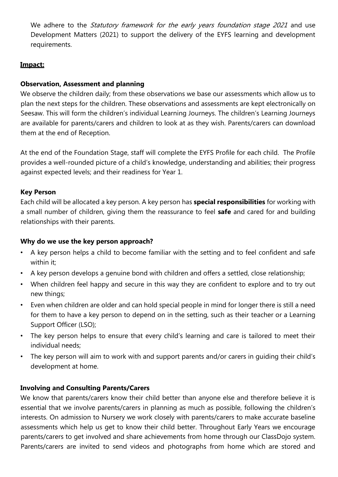We adhere to the Statutory framework for the early years foundation stage 2021 and use Development Matters (2021) to support the delivery of the EYFS learning and development requirements.

#### **Impact:**

#### **Observation, Assessment and planning**

We observe the children daily; from these observations we base our assessments which allow us to plan the next steps for the children. These observations and assessments are kept electronically on Seesaw. This will form the children's individual Learning Journeys. The children's Learning Journeys are available for parents/carers and children to look at as they wish. Parents/carers can download them at the end of Reception.

At the end of the Foundation Stage, staff will complete the EYFS Profile for each child. The Profile provides a well-rounded picture of a child's knowledge, understanding and abilities; their progress against expected levels; and their readiness for Year 1.

#### **Key Person**

Each child will be allocated a key person. A key person has **special responsibilities** for working with a small number of children, giving them the reassurance to feel **safe** and cared for and building relationships with their parents.

#### **Why do we use the key person approach?**

- A key person helps a child to become familiar with the setting and to feel confident and safe within it;
- A key person develops a genuine bond with children and offers a settled, close relationship;
- When children feel happy and secure in this way they are confident to explore and to try out new things;
- Even when children are older and can hold special people in mind for longer there is still a need for them to have a key person to depend on in the setting, such as their teacher or a Learning Support Officer (LSO);
- The key person helps to ensure that every child's learning and care is tailored to meet their individual needs;
- The key person will aim to work with and support parents and/or carers in guiding their child's development at home.

#### **Involving and Consulting Parents/Carers**

We know that parents/carers know their child better than anyone else and therefore believe it is essential that we involve parents/carers in planning as much as possible, following the children's interests. On admission to Nursery we work closely with parents/carers to make accurate baseline assessments which help us get to know their child better. Throughout Early Years we encourage parents/carers to get involved and share achievements from home through our ClassDojo system. Parents/carers are invited to send videos and photographs from home which are stored and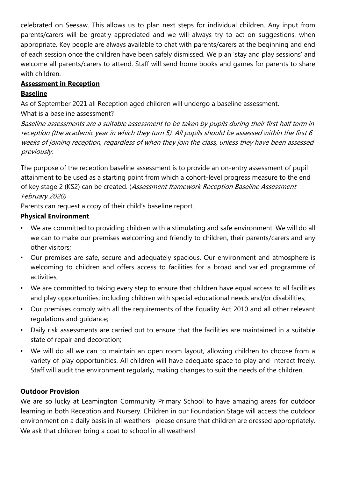celebrated on Seesaw. This allows us to plan next steps for individual children. Any input from parents/carers will be greatly appreciated and we will always try to act on suggestions, when appropriate. Key people are always available to chat with parents/carers at the beginning and end of each session once the children have been safely dismissed. We plan 'stay and play sessions' and welcome all parents/carers to attend. Staff will send home books and games for parents to share with children.

# **Assessment in Reception**

#### **Baseline**

As of September 2021 all Reception aged children will undergo a baseline assessment.

# What is a baseline assessment?

Baseline assessments are a suitable assessment to be taken by pupils during their first half term in reception (the academic year in which they turn 5). All pupils should be assessed within the first 6 weeks of joining reception, regardless of when they join the class, unless they have been assessed previously.

The purpose of the reception baseline assessment is to provide an on-entry assessment of pupil attainment to be used as a starting point from which a cohort-level progress measure to the end of key stage 2 (KS2) can be created. (Assessment framework Reception Baseline Assessment February 2020)

Parents can request a copy of their child's baseline report.

# **Physical Environment**

- We are committed to providing children with a stimulating and safe environment. We will do all we can to make our premises welcoming and friendly to children, their parents/carers and any other visitors;
- Our premises are safe, secure and adequately spacious. Our environment and atmosphere is welcoming to children and offers access to facilities for a broad and varied programme of activities;
- We are committed to taking every step to ensure that children have equal access to all facilities and play opportunities; including children with special educational needs and/or disabilities;
- Our premises comply with all the requirements of the Equality Act 2010 and all other relevant regulations and guidance;
- Daily risk assessments are carried out to ensure that the facilities are maintained in a suitable state of repair and decoration;
- We will do all we can to maintain an open room layout, allowing children to choose from a variety of play opportunities. All children will have adequate space to play and interact freely. Staff will audit the environment regularly, making changes to suit the needs of the children.

# **Outdoor Provision**

We are so lucky at Leamington Community Primary School to have amazing areas for outdoor learning in both Reception and Nursery. Children in our Foundation Stage will access the outdoor environment on a daily basis in all weathers- please ensure that children are dressed appropriately. We ask that children bring a coat to school in all weathers!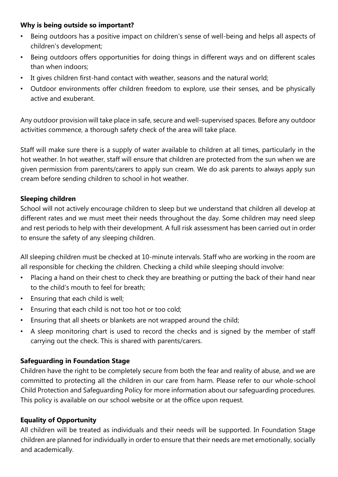#### **Why is being outside so important?**

- Being outdoors has a positive impact on children's sense of well-being and helps all aspects of children's development;
- Being outdoors offers opportunities for doing things in different ways and on different scales than when indoors;
- It gives children first-hand contact with weather, seasons and the natural world;
- Outdoor environments offer children freedom to explore, use their senses, and be physically active and exuberant.

Any outdoor provision will take place in safe, secure and well-supervised spaces. Before any outdoor activities commence, a thorough safety check of the area will take place.

Staff will make sure there is a supply of water available to children at all times, particularly in the hot weather. In hot weather, staff will ensure that children are protected from the sun when we are given permission from parents/carers to apply sun cream. We do ask parents to always apply sun cream before sending children to school in hot weather.

#### **Sleeping children**

School will not actively encourage children to sleep but we understand that children all develop at different rates and we must meet their needs throughout the day. Some children may need sleep and rest periods to help with their development. A full risk assessment has been carried out in order to ensure the safety of any sleeping children.

All sleeping children must be checked at 10-minute intervals. Staff who are working in the room are all responsible for checking the children. Checking a child while sleeping should involve:

- Placing a hand on their chest to check they are breathing or putting the back of their hand near to the child's mouth to feel for breath;
- Ensuring that each child is well;
- Ensuring that each child is not too hot or too cold;
- Ensuring that all sheets or blankets are not wrapped around the child;
- A sleep monitoring chart is used to record the checks and is signed by the member of staff carrying out the check. This is shared with parents/carers.

# **Safeguarding in Foundation Stage**

Children have the right to be completely secure from both the fear and reality of abuse, and we are committed to protecting all the children in our care from harm. Please refer to our whole-school Child Protection and Safeguarding Policy for more information about our safeguarding procedures. This policy is available on our school website or at the office upon request.

# **Equality of Opportunity**

All children will be treated as individuals and their needs will be supported. In Foundation Stage children are planned for individually in order to ensure that their needs are met emotionally, socially and academically.